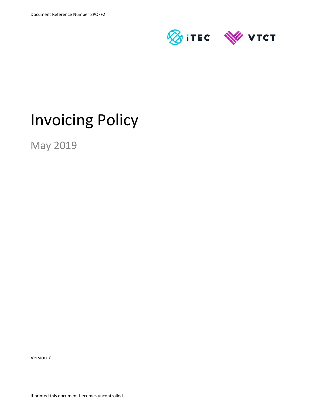

# Invoicing Policy

May 2019

Version 7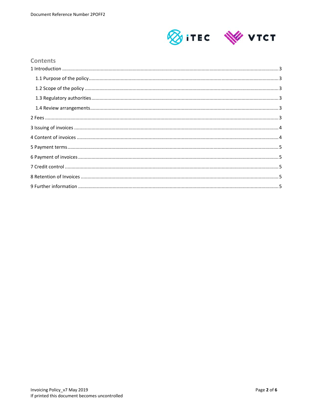

#### **Contents**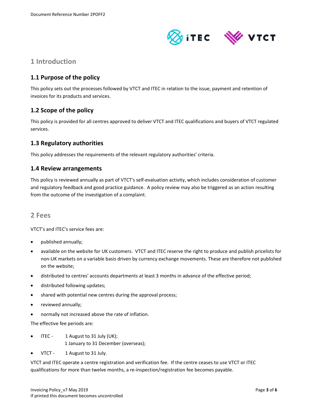

# **1 Introduction**

## **1.1 Purpose of the policy**

This policy sets out the processes followed by VTCT and ITEC in relation to the issue, payment and retention of invoices for its products and services.

### **1.2 Scope of the policy**

This policy is provided for all centres approved to deliver VTCT and ITEC qualifications and buyers of VTCT regulated services.

#### **1.3 Regulatory authorities**

This policy addresses the requirements of the relevant regulatory authorities' criteria.

#### **1.4 Review arrangements**

This policy is reviewed annually as part of VTCT's self‐evaluation activity, which includes consideration of customer and regulatory feedback and good practice guidance. A policy review may also be triggered as an action resulting from the outcome of the investigation of a complaint.

#### **2 Fees**

VTCT's and ITEC's service fees are:

- published annually;
- available on the website for UK customers. VTCT and ITEC reserve the right to produce and publish pricelists for non‐UK markets on a variable basis driven by currency exchange movements. These are therefore not published on the website;
- distributed to centres' accounts departments at least 3 months in advance of the effective period;
- distributed following updates;
- shared with potential new centres during the approval process;
- reviewed annually;
- normally not increased above the rate of inflation.

The effective fee periods are:

- ITEC 1 August to 31 July (UK); 1 January to 31 December (overseas);
- VTCT 1 August to 31 July.

VTCT and ITEC operate a centre registration and verification fee. If the centre ceases to use VTCT or ITEC qualifications for more than twelve months, a re-inspection/registration fee becomes payable.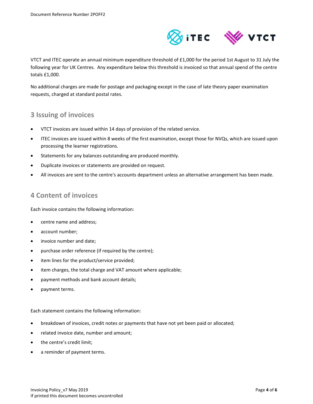

VTCT and ITEC operate an annual minimum expenditure threshold of £1,000 for the period 1st August to 31 July the following year for UK Centres. Any expenditure below this threshold is invoiced so that annual spend of the centre totals £1,000.

No additional charges are made for postage and packaging except in the case of late theory paper examination requests, charged at standard postal rates.

### **3 Issuing of invoices**

- VTCT invoices are issued within 14 days of provision of the related service.
- ITEC invoices are issued within 8 weeks of the first examination, except those for NVQs, which are issued upon processing the learner registrations.
- Statements for any balances outstanding are produced monthly.
- Duplicate invoices or statements are provided on request.
- All invoices are sent to the centre's accounts department unless an alternative arrangement has been made.

## **4 Content of invoices**

Each invoice contains the following information:

- centre name and address;
- account number;
- invoice number and date;
- purchase order reference (if required by the centre);
- item lines for the product/service provided;
- item charges, the total charge and VAT amount where applicable;
- payment methods and bank account details;
- payment terms.

Each statement contains the following information:

- breakdown of invoices, credit notes or payments that have not yet been paid or allocated;
- related invoice date, number and amount;
- the centre's credit limit;
- a reminder of payment terms.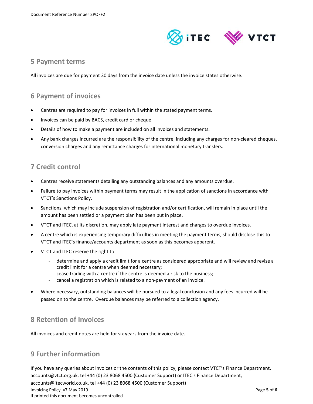

#### **5 Payment terms**

All invoices are due for payment 30 days from the invoice date unless the invoice states otherwise.

## **6 Payment of invoices**

- Centres are required to pay for invoices in full within the stated payment terms.
- Invoices can be paid by BACS, credit card or cheque.
- Details of how to make a payment are included on all invoices and statements.
- Any bank charges incurred are the responsibility of the centre, including any charges for non-cleared cheques, conversion charges and any remittance charges for international monetary transfers.

### **7 Credit control**

- Centres receive statements detailing any outstanding balances and any amounts overdue.
- Failure to pay invoices within payment terms may result in the application of sanctions in accordance with VTCT's Sanctions Policy.
- Sanctions, which may include suspension of registration and/or certification, will remain in place until the amount has been settled or a payment plan has been put in place.
- VTCT and ITEC, at its discretion, may apply late payment interest and charges to overdue invoices.
- A centre which is experiencing temporary difficulties in meeting the payment terms, should disclose this to VTCT and ITEC's finance/accounts department as soon as this becomes apparent.
- VTCT and ITEC reserve the right to
	- determine and apply a credit limit for a centre as considered appropriate and will review and revise a credit limit for a centre when deemed necessary;
	- cease trading with a centre if the centre is deemed a risk to the business;
	- cancel a registration which is related to a non-payment of an invoice.
- Where necessary, outstanding balances will be pursued to a legal conclusion and any fees incurred will be passed on to the centre. Overdue balances may be referred to a collection agency.

# **8 Retention of Invoices**

All invoices and credit notes are held for six years from the invoice date.

# **9 Further information**

Invoicing Policy\_v7 May 2019 Page **5** of **6** If printed this document becomes uncontrolled If you have any queries about invoices or the contents of this policy, please contact VTCT's Finance Department, accounts@vtct.org.uk, tel +44 (0) 23 8068 4500 (Customer Support) or ITEC's Finance Department, accounts@itecworld.co.uk, tel +44 (0) 23 8068 4500 (Customer Support)